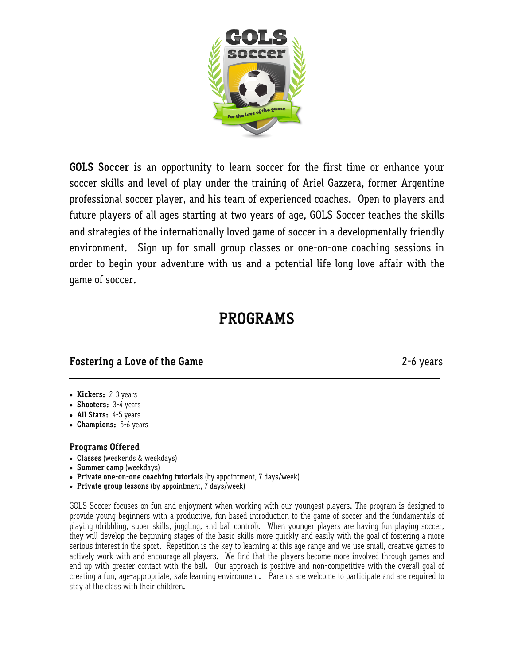

**GOLS Soccer** is an opportunity to learn soccer for the first time or enhance your soccer skills and level of play under the training of Ariel Gazzera, former Argentine professional soccer player, and his team of experienced coaches. Open to players and future players of all ages starting at two years of age, GOLS Soccer teaches the skills and strategies of the internationally loved game of soccer in a developmentally friendly environment. Sign up for small group classes or one-on-one coaching sessions in order to begin your adventure with us and a potential life long love affair with the game of soccer.

# **PROGRAMS**

## **Fostering a Love of the Game** 2-6 years

- **• Kickers:** 2-3 years
- **• Shooters:** 3-4 years
- **• All Stars:** 4-5 years
- **• Champions:** 5-6 years

#### **Programs Offered**

- **Classes** (weekends & weekdays)
- **Summer camp** (weekdays)
- **Private one-on-one coaching tutorials** (by appointment, 7 days/week)
- **Private group lessons** (by appointment, 7 days/week)

GOLS Soccer focuses on fun and enjoyment when working with our youngest players. The program is designed to provide young beginners with a productive, fun based introduction to the game of soccer and the fundamentals of playing (dribbling, super skills, juggling, and ball control). When younger players are having fun playing soccer, they will develop the beginning stages of the basic skills more quickly and easily with the goal of fostering a more serious interest in the sport. Repetition is the key to learning at this age range and we use small, creative games to actively work with and encourage all players. We find that the players become more involved through games and end up with greater contact with the ball. Our approach is positive and non-competitive with the overall goal of creating a fun, age-appropriate, safe learning environment. Parents are welcome to participate and are required to stay at the class with their children.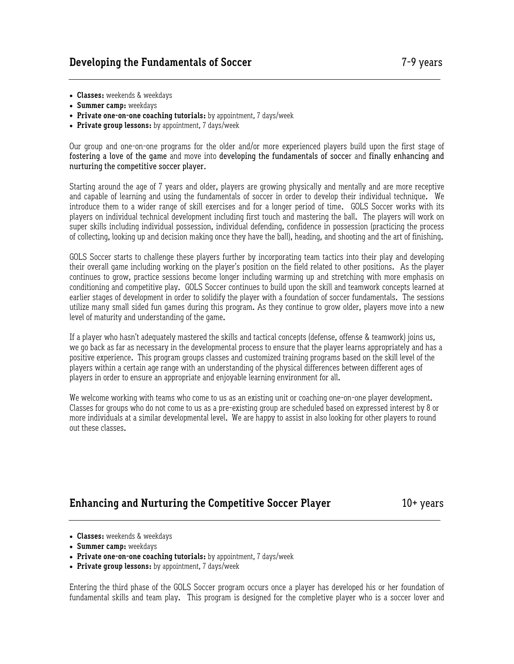- **• Classes:** weekends & weekdays
- **• Summer camp:** weekdays
- **• Private one-on-one coaching tutorials:** by appointment, 7 days/week
- **• Private group lessons:** by appointment, 7 days/week

Our group and one-on-one programs for the older and/or more experienced players build upon the first stage of fostering a love of the game and move into developing the fundamentals of soccer and finally enhancing and nurturing the competitive soccer player.

Starting around the age of 7 years and older, players are growing physically and mentally and are more receptive and capable of learning and using the fundamentals of soccer in order to develop their individual technique. We introduce them to a wider range of skill exercises and for a longer period of time. GOLS Soccer works with its players on individual technical development including first touch and mastering the ball. The players will work on super skills including individual possession, individual defending, confidence in possession (practicing the process of collecting, looking up and decision making once they have the ball), heading, and shooting and the art of finishing.

GOLS Soccer starts to challenge these players further by incorporating team tactics into their play and developing their overall game including working on the player's position on the field related to other positions. As the player continues to grow, practice sessions become longer including warming up and stretching with more emphasis on conditioning and competitive play. GOLS Soccer continues to build upon the skill and teamwork concepts learned at earlier stages of development in order to solidify the player with a foundation of soccer fundamentals. The sessions utilize many small sided fun games during this program. As they continue to grow older, players move into a new level of maturity and understanding of the game.

If a player who hasn't adequately mastered the skills and tactical concepts (defense, offense & teamwork) joins us, we go back as far as necessary in the developmental process to ensure that the player learns appropriately and has a positive experience. This program groups classes and customized training programs based on the skill level of the players within a certain age range with an understanding of the physical differences between different ages of players in order to ensure an appropriate and enjoyable learning environment for all.

We welcome working with teams who come to us as an existing unit or coaching one-on-one player development. Classes for groups who do not come to us as a pre-existing group are scheduled based on expressed interest by 8 or more individuals at a similar developmental level. We are happy to assist in also looking for other players to round out these classes.

### **Enhancing and Nurturing the Competitive Soccer Player 10+ years**

- **• Classes:** weekends & weekdays
- **• Summer camp:** weekdays
- **• Private one-on-one coaching tutorials:** by appointment, 7 days/week
- **• Private group lessons:** by appointment, 7 days/week

Entering the third phase of the GOLS Soccer program occurs once a player has developed his or her foundation of fundamental skills and team play. This program is designed for the completive player who is a soccer lover and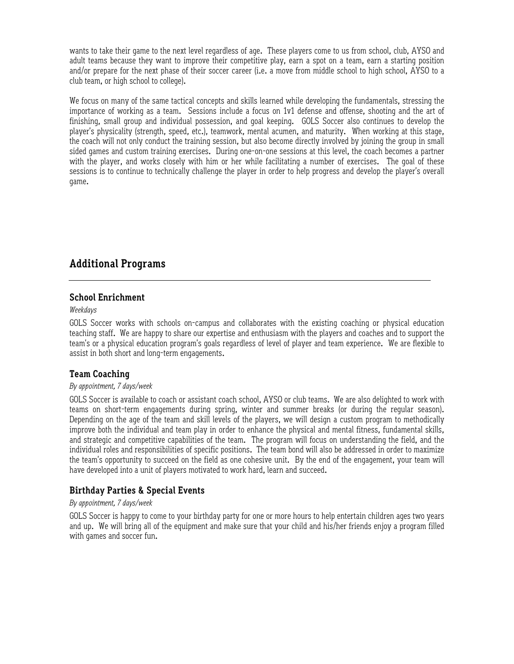wants to take their game to the next level regardless of age. These players come to us from school, club, AYSO and adult teams because they want to improve their competitive play, earn a spot on a team, earn a starting position and/or prepare for the next phase of their soccer career (i.e. a move from middle school to high school, AYSO to a club team, or high school to college).

We focus on many of the same tactical concepts and skills learned while developing the fundamentals, stressing the importance of working as a team. Sessions include a focus on 1v1 defense and offense, shooting and the art of finishing, small group and individual possession, and goal keeping. GOLS Soccer also continues to develop the player's physicality (strength, speed, etc.), teamwork, mental acumen, and maturity. When working at this stage, the coach will not only conduct the training session, but also become directly involved by joining the group in small sided games and custom training exercises. During one-on-one sessions at this level, the coach becomes a partner with the player, and works closely with him or her while facilitating a number of exercises. The goal of these sessions is to continue to technically challenge the player in order to help progress and develop the player's overall game.

## **Additional Programs**

### **School Enrichment**

*Weekdays*

GOLS Soccer works with schools on-campus and collaborates with the existing coaching or physical education teaching staff. We are happy to share our expertise and enthusiasm with the players and coaches and to support the team's or a physical education program's goals regardless of level of player and team experience. We are flexible to assist in both short and long-term engagements.

### **Team Coaching**

#### *By appointment, 7 days/week*

GOLS Soccer is available to coach or assistant coach school, AYSO or club teams. We are also delighted to work with teams on short-term engagements during spring, winter and summer breaks (or during the regular season). Depending on the age of the team and skill levels of the players, we will design a custom program to methodically improve both the individual and team play in order to enhance the physical and mental fitness, fundamental skills, and strategic and competitive capabilities of the team. The program will focus on understanding the field, and the individual roles and responsibilities of specific positions. The team bond will also be addressed in order to maximize the team's opportunity to succeed on the field as one cohesive unit. By the end of the engagement, your team will have developed into a unit of players motivated to work hard, learn and succeed.

### **Birthday Parties & Special Events**

#### *By appointment, 7 days/week*

GOLS Soccer is happy to come to your birthday party for one or more hours to help entertain children ages two years and up. We will bring all of the equipment and make sure that your child and his/her friends enjoy a program filled with games and soccer fun.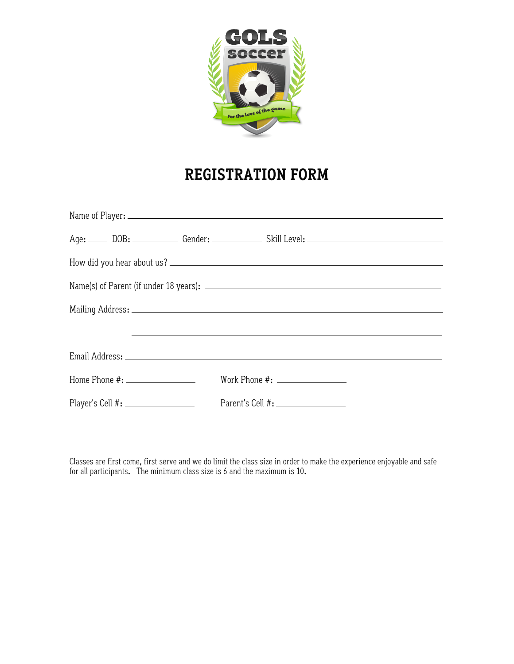

# **REGISTRATION FORM**

|  |                                      |  | <u> 1980 - Jan Samuel Barbara, martin da shekara ta 1980 - An tsara tsara tsara tsara tsara tsara tsara tsara tsa</u> |  |  |  |  |
|--|--------------------------------------|--|-----------------------------------------------------------------------------------------------------------------------|--|--|--|--|
|  |                                      |  |                                                                                                                       |  |  |  |  |
|  | Home Phone #: ______________________ |  | Work Phone #: _________________                                                                                       |  |  |  |  |
|  | Player's Cell #: ___________________ |  | Parent's Cell #: ___________________                                                                                  |  |  |  |  |

Classes are first come, first serve and we do limit the class size in order to make the experience enjoyable and safe for all participants. The minimum class size is 6 and the maximum is 10.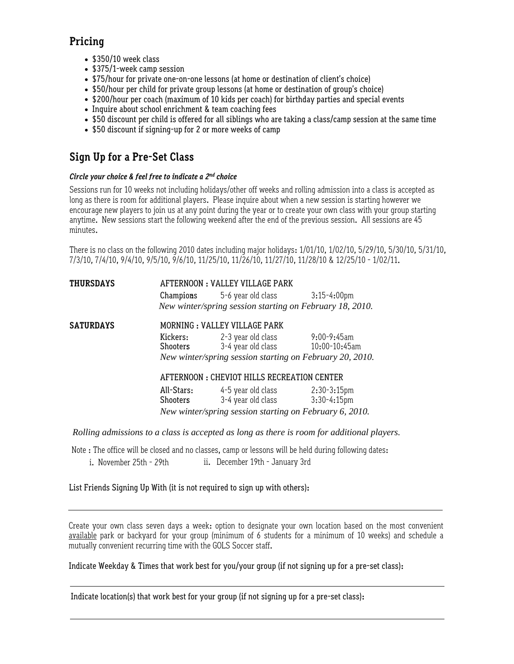## **Pricing**

- \$350/10 week class
- \$375/1-week camp session
- \$75/hour for private one-on-one lessons (at home or destination of client's choice)
- \$50/hour per child for private group lessons (at home or destination of group's choice)
- \$200/hour per coach (maximum of 10 kids per coach) for birthday parties and special events
- Inquire about school enrichment & team coaching fees
- \$50 discount per child is offered for all siblings who are taking a class/camp session at the same time
- \$50 discount if signing-up for 2 or more weeks of camp

## **Sign Up for a Pre-Set Class**

#### *Circle your choice & feel free to indicate a 2nd choice*

Sessions run for 10 weeks not including holidays/other off weeks and rolling admission into a class is accepted as long as there is room for additional players. Please inquire about when a new session is starting however we encourage new players to join us at any point during the year or to create your own class with your group starting anytime. New sessions start the following weekend after the end of the previous session. All sessions are 45 minutes.

There is no class on the following 2010 dates including major holidays: 1/01/10, 1/02/10, 5/29/10, 5/30/10, 5/31/10, 7/3/10, 7/4/10, 9/4/10, 9/5/10, 9/6/10, 11/25/10, 11/26/10, 11/27/10, 11/28/10 & 12/25/10 - 1/02/11.

| <b>THURSDAYS</b> | AFTERNOON: VALLEY VILLAGE PARK                          |                                                          |                  |  |  |
|------------------|---------------------------------------------------------|----------------------------------------------------------|------------------|--|--|
|                  |                                                         | <b>Champions</b> 5-6 year old class 3:15-4:00pm          |                  |  |  |
|                  |                                                         | New winter/spring session starting on February 18, 2010. |                  |  |  |
| <b>SATURDAYS</b> | MORNING: VALLEY VILLAGE PARK                            |                                                          |                  |  |  |
|                  | Kickers:<br>Shooters                                    | 2-3 year old class<br>3-4 year old class 10:00-10:45am   | $9:00 - 9:45$ am |  |  |
|                  |                                                         | New winter/spring session starting on February 20, 2010. |                  |  |  |
|                  | AFTERNOON : CHEVIOT HILLS RECREATION CENTER             |                                                          |                  |  |  |
|                  | All-Stars:                                              | 4-5 year old class                                       | $2:30-3:15pm$    |  |  |
|                  | Shooters                                                | 3-4 year old class 3:30-4:15pm                           |                  |  |  |
|                  | New winter/spring session starting on February 6, 2010. |                                                          |                  |  |  |

*Rolling admissions to a class is accepted as long as there is room for additional players.*

Note : The office will be closed and no classes, camp or lessons will be held during following dates:

i. November 25th - 29th ii. December 19th - January 3rd

List Friends Signing Up With (it is not required to sign up with others):

Create your own class seven days a week: option to designate your own location based on the most convenient available park or backyard for your group (minimum of 6 students for a minimum of 10 weeks) and schedule a mutually convenient recurring time with the GOLS Soccer staff.

Indicate Weekday & Times that work best for you/your group (if not signing up for a pre-set class):

Indicate location(s) that work best for your group (if not signing up for a pre-set class):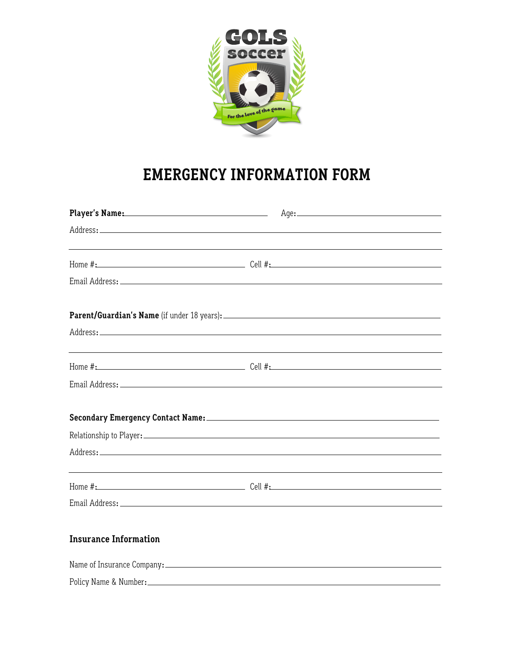

# **EMERGENCY INFORMATION FORM**

|                              | Player's Name: Age: Age:                                                                                                                                                                                                                                                                                                                                                                                                                                                                       |
|------------------------------|------------------------------------------------------------------------------------------------------------------------------------------------------------------------------------------------------------------------------------------------------------------------------------------------------------------------------------------------------------------------------------------------------------------------------------------------------------------------------------------------|
|                              |                                                                                                                                                                                                                                                                                                                                                                                                                                                                                                |
|                              | <u> 1989 - Andrea Stadt Britain, amerikansk politiker (d. 1989)</u>                                                                                                                                                                                                                                                                                                                                                                                                                            |
|                              |                                                                                                                                                                                                                                                                                                                                                                                                                                                                                                |
|                              |                                                                                                                                                                                                                                                                                                                                                                                                                                                                                                |
|                              |                                                                                                                                                                                                                                                                                                                                                                                                                                                                                                |
|                              | <u> 1999 - Johann Harry Harry Harry Harry Harry Harry Harry Harry Harry Harry Harry Harry Harry Harry Harry Harry</u>                                                                                                                                                                                                                                                                                                                                                                          |
|                              |                                                                                                                                                                                                                                                                                                                                                                                                                                                                                                |
|                              | Secondary Emergency Contact Name: Manual Manual Manual Manual Manual Manual Manual Manual Manual Manual Manual                                                                                                                                                                                                                                                                                                                                                                                 |
|                              |                                                                                                                                                                                                                                                                                                                                                                                                                                                                                                |
|                              |                                                                                                                                                                                                                                                                                                                                                                                                                                                                                                |
|                              | <u> 1989 - Johann Stoff, deutscher Stoffen und der Stoffen und der Stoffen und der Stoffen und der Stoffen und der</u><br>Home $\#$ : $\qquad \qquad$ $\qquad \qquad$ $\qquad \qquad$ $\qquad \qquad$ $\qquad \qquad$ $\qquad \qquad$ $\qquad \qquad$ $\qquad \qquad$ $\qquad \qquad$ $\qquad \qquad$ $\qquad \qquad$ $\qquad$ $\qquad \qquad$ $\qquad$ $\qquad$ $\qquad$ $\qquad$ $\qquad$ $\qquad$ $\qquad$ $\qquad$ $\qquad$ $\qquad$ $\qquad$ $\qquad$ $\qquad$ $\qquad$ $\qquad$ $\qquad$ |
|                              |                                                                                                                                                                                                                                                                                                                                                                                                                                                                                                |
| <b>Insurance Information</b> |                                                                                                                                                                                                                                                                                                                                                                                                                                                                                                |
|                              |                                                                                                                                                                                                                                                                                                                                                                                                                                                                                                |
|                              |                                                                                                                                                                                                                                                                                                                                                                                                                                                                                                |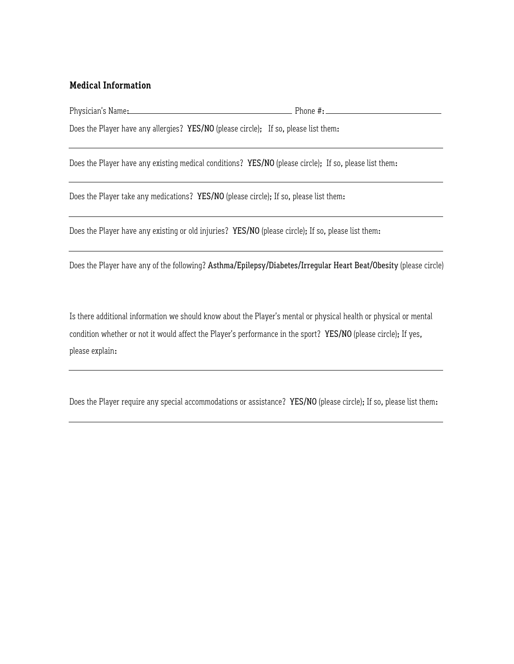#### **Medical Information**

Physician's Name: 2008 - 2008 - 2009 - 2009 - 2019 - 2019 - 2019 - 2019 - 2019 - 2019 - 2019 - 2019 - 2019 - 2019 - 2019 - 2019 - 2019 - 2019 - 2019 - 2019 - 2019 - 2019 - 2019 - 2019 - 2019 - 2019 - 2019 - 2019 - 2019 - 2

Does the Player have any allergies? YES/NO (please circle); If so, please list them:

Does the Player have any existing medical conditions? YES/NO (please circle); If so, please list them:

Does the Player take any medications? YES/NO (please circle); If so, please list them:

Does the Player have any existing or old injuries? YES/NO (please circle); If so, please list them:

Does the Player have any of the following? Asthma/Epilepsy/Diabetes/Irregular Heart Beat/Obesity (please circle)

Is there additional information we should know about the Player's mental or physical health or physical or mental condition whether or not it would affect the Player's performance in the sport? YES/NO (please circle); If yes, please explain:

Does the Player require any special accommodations or assistance? YES/NO (please circle); If so, please list them: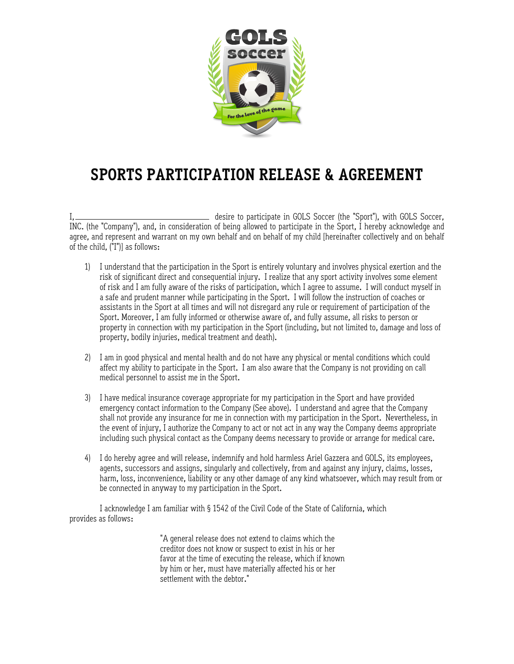

# **SPORTS PARTICIPATION RELEASE & AGREEMENT**

I, desire to participate in GOLS Soccer (the "Sport"), with GOLS Soccer, INC. (the "Company"), and, in consideration of being allowed to participate in the Sport, I hereby acknowledge and agree, and represent and warrant on my own behalf and on behalf of my child [hereinafter collectively and on behalf of the child, ("I")] as follows:

- 1) I understand that the participation in the Sport is entirely voluntary and involves physical exertion and the risk of significant direct and consequential injury. I realize that any sport activity involves some element of risk and I am fully aware of the risks of participation, which I agree to assume. I will conduct myself in a safe and prudent manner while participating in the Sport. I will follow the instruction of coaches or assistants in the Sport at all times and will not disregard any rule or requirement of participation of the Sport. Moreover, I am fully informed or otherwise aware of, and fully assume, all risks to person or property in connection with my participation in the Sport (including, but not limited to, damage and loss of property, bodily injuries, medical treatment and death).
- 2) I am in good physical and mental health and do not have any physical or mental conditions which could affect my ability to participate in the Sport. I am also aware that the Company is not providing on call medical personnel to assist me in the Sport.
- 3) I have medical insurance coverage appropriate for my participation in the Sport and have provided emergency contact information to the Company (See above). I understand and agree that the Company shall not provide any insurance for me in connection with my participation in the Sport. Nevertheless, in the event of injury, I authorize the Company to act or not act in any way the Company deems appropriate including such physical contact as the Company deems necessary to provide or arrange for medical care.
- 4) I do hereby agree and will release, indemnify and hold harmless Ariel Gazzera and GOLS, its employees, agents, successors and assigns, singularly and collectively, from and against any injury, claims, losses, harm, loss, inconvenience, liability or any other damage of any kind whatsoever, which may result from or be connected in anyway to my participation in the Sport.

I acknowledge I am familiar with § 1542 of the Civil Code of the State of California, which provides as follows:

> "A general release does not extend to claims which the creditor does not know or suspect to exist in his or her favor at the time of executing the release, which if known by him or her, must have materially affected his or her settlement with the debtor."